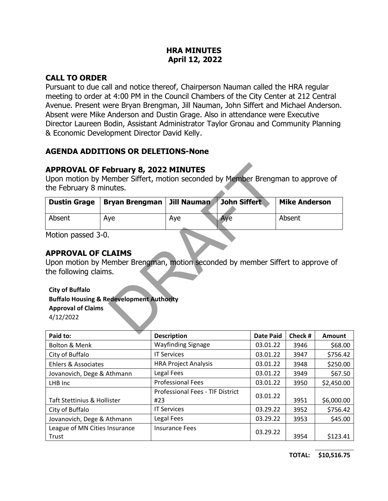#### **HRA MINUTES April 12, 2022**

# **CALL TO ORDER**

Pursuant to due call and notice thereof, Chairperson Nauman called the HRA regular meeting to order at 4:00 PM in the Council Chambers of the City Center at 212 Central Avenue. Present were Bryan Brengman, Jill Nauman, John Siffert and Michael Anderson. Absent were Mike Anderson and Dustin Grage. Also in attendance were Executive Director Laureen Bodin, Assistant Administrator Taylor Gronau and Community Planning & Economic Development Director David Kelly.

# **AGENDA ADDITIONS OR DELETIONS-None**

# **APPROVAL OF February 8, 2022 MINUTES**

| <b>APPROVAL OF February 8, 2022 MINUTES</b><br>Upon motion by Member Siffert, motion seconded by Member Brengman to approve of<br>the February 8 minutes. |                                                                                                                                         |                    |              |                      |  |
|-----------------------------------------------------------------------------------------------------------------------------------------------------------|-----------------------------------------------------------------------------------------------------------------------------------------|--------------------|--------------|----------------------|--|
| <b>Dustin Grage</b>                                                                                                                                       | <b>Bryan Brengman</b>                                                                                                                   | <b>Jill Nauman</b> | John Siffert | <b>Mike Anderson</b> |  |
| Absent                                                                                                                                                    | Aye                                                                                                                                     | Aye                | Aye          | Absent               |  |
| Motion passed 3-0.<br><b>APPROVAL OF CLAIMS</b><br>the following claims.<br><b>City of Buffalo</b><br><b>Approval of Claims</b><br>4/12/2022              | Upon motion by Member Brengman, motion seconded by member Siffert to approve of<br><b>Buffalo Housing &amp; Redevelopment Authority</b> |                    |              |                      |  |

# **APPROVAL OF CLAIMS**

#### **City of Buffalo Buffalo Housing & Redevelopment Authority Approval of Claims**

| Paid to:                               | <b>Description</b>                             | <b>Date Paid</b> | Check # | Amount     |
|----------------------------------------|------------------------------------------------|------------------|---------|------------|
| <b>Bolton &amp; Menk</b>               | <b>Wayfinding Signage</b>                      | 03.01.22         | 3946    | \$68.00    |
| City of Buffalo                        | <b>IT Services</b>                             | 03.01.22         | 3947    | \$756.42   |
| Ehlers & Associates                    | <b>HRA Project Analysis</b>                    | 03.01.22         | 3948    | \$250.00   |
| Jovanovich, Dege & Athmann             | Legal Fees                                     | 03.01.22         | 3949    | \$67.50    |
| LHB Inc                                | <b>Professional Fees</b>                       | 03.01.22         | 3950    | \$2,450.00 |
| <b>Taft Stettinius &amp; Hollister</b> | <b>Professional Fees - TIF District</b><br>#23 | 03.01.22         | 3951    | \$6,000.00 |
| City of Buffalo                        | <b>IT Services</b>                             | 03.29.22         | 3952    | \$756.42   |
| Jovanovich, Dege & Athmann             | Legal Fees                                     | 03.29.22         | 3953    | \$45.00    |
| League of MN Cities Insurance<br>Trust | <b>Insurance Fees</b>                          | 03.29.22         | 3954    | \$123.41   |

**TOTAL: \$10,516.75**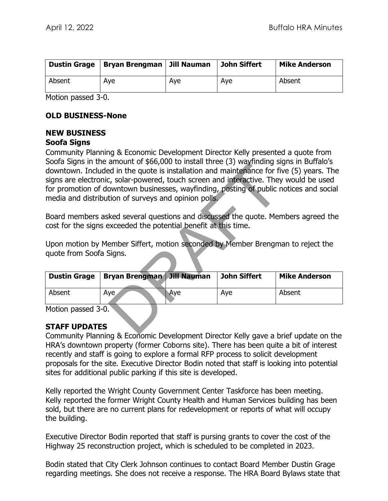| <b>Dustin Grage</b> | Bryan Brengman   Jill Nauman |     | <b>John Siffert</b> | <b>Mike Anderson</b> |
|---------------------|------------------------------|-----|---------------------|----------------------|
| Absent              | Ave                          | Aye | Aye                 | Absent               |

Motion passed 3-0.

#### **OLD BUSINESS-None**

# **NEW BUSINESS**

#### **Soofa Signs**

Community Planning & Economic Development Director Kelly presented a quote from Soofa Signs in the amount of \$66,000 to install three (3) wayfinding signs in Buffalo's downtown. Included in the quote is installation and maintenance for five (5) years. The signs are electronic, solar-powered, touch screen and interactive. They would be used for promotion of downtown businesses, wayfinding, posting of public notices and social media and distribution of surveys and opinion polls. amount of yoo, boot of mistail three (3) way infining sted in the quote is installation and maintenance for fit<br>c, solar-powered, touch screen and interactive. They<br>owntown businesses, wayfinding, posting of public r<br>tion

Board members asked several questions and discussed the quote. Members agreed the cost for the signs exceeded the potential benefit at this time.

Upon motion by Member Siffert, motion seconded by Member Brengman to reject the quote from Soofa Signs.

| <b>Dustin Grage</b> | Bryan Brengman Jill Nauman |     | John Siffert | <b>Mike Anderson</b> |
|---------------------|----------------------------|-----|--------------|----------------------|
| Absent              | Aye,                       | Ave | Ave          | Absent               |

Motion passed 3-0.

### **STAFF UPDATES**

Community Planning & Economic Development Director Kelly gave a brief update on the HRA's downtown property (former Coborns site). There has been quite a bit of interest recently and staff is going to explore a formal RFP process to solicit development proposals for the site. Executive Director Bodin noted that staff is looking into potential sites for additional public parking if this site is developed.

Kelly reported the Wright County Government Center Taskforce has been meeting. Kelly reported the former Wright County Health and Human Services building has been sold, but there are no current plans for redevelopment or reports of what will occupy the building.

Executive Director Bodin reported that staff is pursing grants to cover the cost of the Highway 25 reconstruction project, which is scheduled to be completed in 2023.

Bodin stated that City Clerk Johnson continues to contact Board Member Dustin Grage regarding meetings. She does not receive a response. The HRA Board Bylaws state that